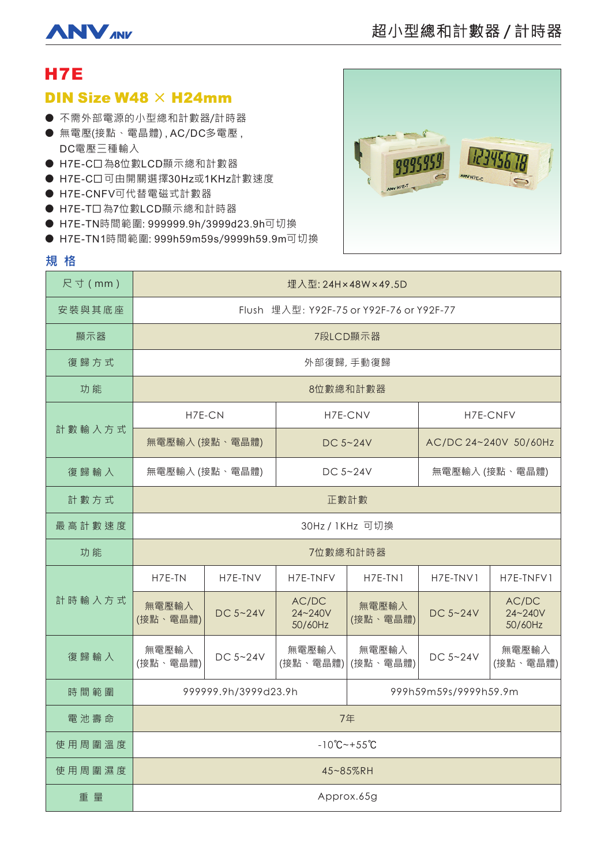

# H7E

## **DIN Size W48**  $\times$  **H24mm**

- 不需外部電源的小型總和計數器/計時器
- 無電壓(接點、電晶體) , AC/DC多電壓 , DC電壓三種輸入
- H7E-C口為8位數LCD顯示總和計數器
- H7E-C口可由開關選擇30Hz或1KHz計數速度
- H7E-CNFV可代替電磁式計數器
- H7E-T口為7位數LCD顯示總和計時器
- H7E-TN時間範圍: 999999.9h/3999d23.9h可切換
- H7E-TN1時間範圍: 999h59m59s/9999h59.9m可切換



### **規格**

| 尺寸 (mm) | 埋入型: 24H × 48W × 49.5D                   |          |                             |                       |                       |                             |
|---------|------------------------------------------|----------|-----------------------------|-----------------------|-----------------------|-----------------------------|
| 安裝與其底座  | Flush 埋入型: Y92F-75 or Y92F-76 or Y92F-77 |          |                             |                       |                       |                             |
| 顯示器     | 7段LCD顯示器                                 |          |                             |                       |                       |                             |
| 復歸方式    | 外部復歸,手動復歸                                |          |                             |                       |                       |                             |
| 功能      | 8位數總和計數器                                 |          |                             |                       |                       |                             |
| 計數輸入方式  | H7E-CN                                   |          | H7E-CNV                     |                       | H7E-CNFV              |                             |
|         | 無電壓輸入 (接點、電晶體)                           |          | DC $5 - 24V$                |                       | AC/DC 24~240V 50/60Hz |                             |
| 復歸輸入    | 無電壓輸入 (接點、電晶體)                           |          | DC $5 - 24V$                |                       | 無電壓輸入 (接點、電晶體)        |                             |
| 計數方式    | 正數計數                                     |          |                             |                       |                       |                             |
| 最高計數速度  | 30Hz / 1KHz 可切換                          |          |                             |                       |                       |                             |
| 功能      | 7位數總和計時器                                 |          |                             |                       |                       |                             |
| 計時輸入方式  | H7E-TN                                   | H7E-TNV  | H7E-TNFV                    | $H7E-TN1$             | H7E-TNV1              | H7E-TNFV1                   |
|         | 無電壓輸入<br>(接點、電晶體)                        | DC 5~24V | AC/DC<br>24~240V<br>50/60Hz | 無電壓輸入<br>(接點、電晶體)     | DC 5~24V              | AC/DC<br>24~240V<br>50/60Hz |
| 復歸輸入    | 無電壓輸入<br>(接點、電晶體)                        | DC 5~24V | 無電壓輸入<br>(接點、電晶體)           | 無電壓輸入<br>(接點、電晶體)     | DC 5~24V              | 無電壓輸入<br>(接點、電晶體)           |
| 時間範圍    | 999999.9h/3999d23.9h                     |          |                             | 999h59m59s/9999h59.9m |                       |                             |
| 電池壽命    | 7年                                       |          |                             |                       |                       |                             |
| 使用周圍溫度  | $-10^{\circ}$ C ~ + 55 $^{\circ}$ C      |          |                             |                       |                       |                             |
| 使用周圍濕度  | 45~85%RH                                 |          |                             |                       |                       |                             |
| 重量      | Approx.65g                               |          |                             |                       |                       |                             |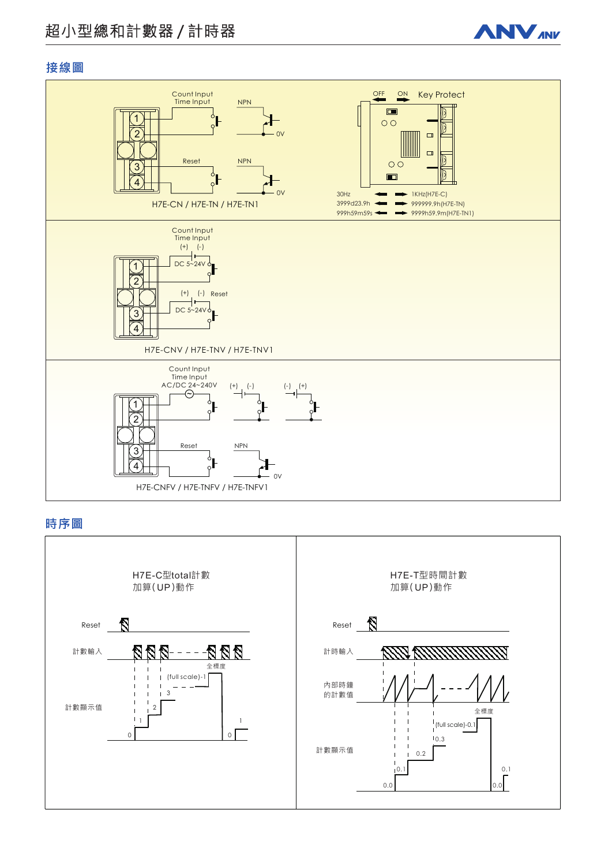# 超小型總和計數器 / 計時器



## 接線圖



### 時序圖